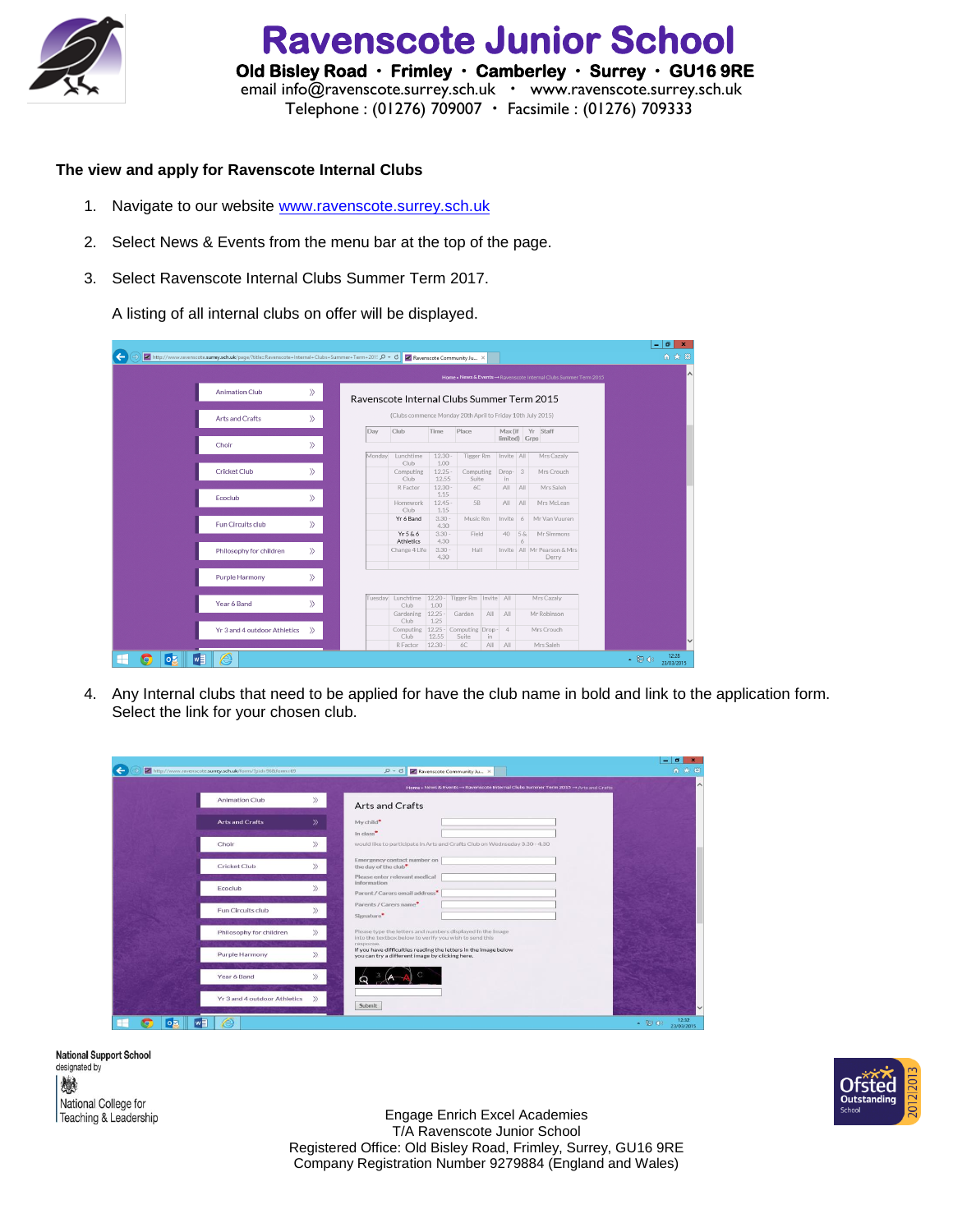

 **Ravenscote Junior School Old Bisley Road Frimley Camberley Surrey GU16 9RE**  email [info@ravenscote.surrey.sch.uk](mailto:info@ravenscote.surrey.sch.uk)  [www.ravenscote.surrey.sch.uk](http://www.ravenscote.surrey.sch.uk/) Telephone : (01276) 709007 Facsimile : (01276) 709333

## **The view and apply for Ravenscote Internal Clubs**

- 1. Navigate to our website [www.ravenscote.surrey.sch.uk](http://www.ravenscote.surrey.sch.uk/)
- 2. Select News & Events from the menu bar at the top of the page.
- 3. Select Ravenscote Internal Clubs Summer Term 2017.

A listing of all internal clubs on offer will be displayed.

| http://www.ravenscote.surrey.sch.uk/page/?title=Ravenscote+Internal+Clubs+Summer+Term+201! Q - C |               |                                                             |                      |                                | Ravenscote Community Ju X                      |            |                          |                                                                    |  | $-10$<br>合大章 | $\mathbf{x}$ |
|--------------------------------------------------------------------------------------------------|---------------|-------------------------------------------------------------|----------------------|--------------------------------|------------------------------------------------|------------|--------------------------|--------------------------------------------------------------------|--|--------------|--------------|
|                                                                                                  |               |                                                             |                      |                                |                                                |            |                          | Home » News & Events -> Ravenscote Internal Clubs Summer Term 2015 |  |              |              |
| <b>Animation Club</b>                                                                            | $\rangle$     | Ravenscote Internal Clubs Summer Term 2015                  |                      |                                |                                                |            |                          |                                                                    |  |              |              |
| <b>Arts and Crafts</b>                                                                           | $\rangle$     | (Clubs commence Monday 20th April to Friday 10th July 2015) |                      |                                |                                                |            |                          |                                                                    |  |              |              |
| Choir                                                                                            | ≫             | Day                                                         | $C$ lub              | Time                           | Place                                          |            |                          | Max (if Yr Staff<br>limited) Grps                                  |  |              |              |
|                                                                                                  |               | Monday                                                      | Lunchtime<br>Club    | 12.30<br>1.00                  | Tigger Rm                                      |            | Invite All               | Mrs Cazaly                                                         |  |              |              |
| <b>Cricket Club</b>                                                                              | $\rangle$     |                                                             | Computing<br>Club    | $12.25 -$<br>12.55             | Computing<br>Suite                             |            | Drop- 3<br>in            | Mrs Crouch                                                         |  |              |              |
| Ecoclub                                                                                          | $\rangle$     |                                                             | R Factor<br>Homework | $12.30 -$<br>1.15<br>$12.45 -$ | 6C<br><b>5B</b>                                |            | All<br>AII<br>AII<br>AII | Mrs Saleh<br>Mrs McLean                                            |  |              |              |
| Fun Circuits club                                                                                | $\rangle$     |                                                             | Club.<br>Yr 6 Band   | 1.15<br>$3.30 -$<br>4.30       | Music Rm                                       |            | Invite 6                 | Mr Van Vuuren                                                      |  |              |              |
|                                                                                                  |               |                                                             | Yr5&6<br>Athletics   | $3.30 -$<br>4.30               | Field                                          |            | 5 &<br>40<br>6           | Mr Simmons                                                         |  |              |              |
| Philosophy for children                                                                          | $\rangle$     |                                                             | Change 4 Life        | $3.30 -$<br>4.30               | Hall                                           |            |                          | Invite   All   Mr Pearson & Mrs<br>Derry                           |  |              |              |
| <b>Purple Harmony</b>                                                                            | $\rangle$     |                                                             |                      |                                |                                                |            |                          |                                                                    |  |              |              |
| Year 6 Band                                                                                      | $\rangle$     |                                                             | Club                 | 1.00                           | Tuesday Lunchtime 12.20 - Tigger Rm Invite All |            |                          | Mrs Cazaly                                                         |  |              |              |
| Yr 3 and 4 outdoor Athletics                                                                     | $\mathcal{D}$ |                                                             | Gardening<br>Club    | $12.25 -$<br>1.25              | Garden<br>Computing 12.25 - Computing Drop - 4 | All        | AII                      | Mr Robinson<br>Mrs Crouch                                          |  |              |              |
|                                                                                                  |               |                                                             | Club<br>R Factor     | 12.55<br>$12.30 -$             | Suite<br>6C                                    | in.<br>All | AII                      | Mrs Saleh                                                          |  |              |              |

4. Any Internal clubs that need to be applied for have the club name in bold and link to the application form. Select the link for your chosen club.

|                              |               | Home » News & Events -> Ravenscote Internal Clubs Summer Term 2015 -> Arts and Crafts                                           |  |
|------------------------------|---------------|---------------------------------------------------------------------------------------------------------------------------------|--|
| <b>Animation Club</b>        | $\rangle$     | <b>Arts and Crafts</b>                                                                                                          |  |
| <b>Arts and Crafts</b>       | $\mathcal{P}$ | My child*                                                                                                                       |  |
| Choir                        | $\rangle$     | In class*<br>would like to participate in Arts and Crafts Club on Wednseday 3.30 - 4.30                                         |  |
| Cricket Club                 | $\gg$         | Emergency contact number on<br>the day of the club*                                                                             |  |
| Ecoclub                      | $\rangle$     | Please enter relevant medical<br>information<br>Parent / Carers email address*                                                  |  |
| Fun Circuits club            | $\gg$         | Parents / Carers name*<br>Signature <sup>*</sup>                                                                                |  |
| Philosophy for children      | $\gg$         | Please type the letters and numbers displayed in the image<br>into the textbox below to verify you wish to send this            |  |
| <b>Purple Harmony</b>        | $\mathcal{D}$ | response.<br>If you have difficulties reading the letters in the image below<br>you can try a different image by clicking here. |  |
| Year 6 Band                  | $\gg$         |                                                                                                                                 |  |
| Yr 3 and 4 outdoor Athletics | $\rangle$     |                                                                                                                                 |  |

**National Support School** designated by 燃 National College for Teaching & Leadership



Engage Enrich Excel Academies T/A Ravenscote Junior School Registered Office: Old Bisley Road, Frimley, Surrey, GU16 9RE Company Registration Number 9279884 (England and Wales)